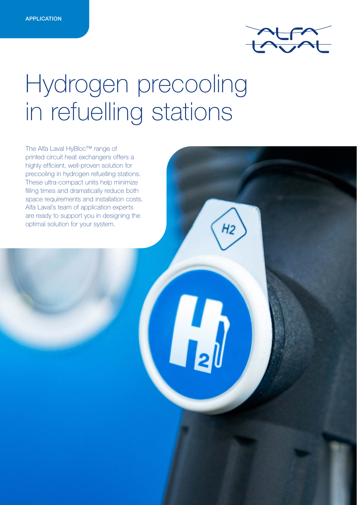

# Hydrogen precooling in refuelling stations

 $\mathbf{L}$ 

The Alfa Laval HyBloc™ range of printed circuit heat exchangers offers a highly efficient, well-proven solution for precooling in hydrogen refuelling stations. These ultra-compact units help minimize filling times and dramatically reduce both space requirements and installation costs. Alfa Laval's team of application experts are ready to support you in designing the optimal solution for your system.